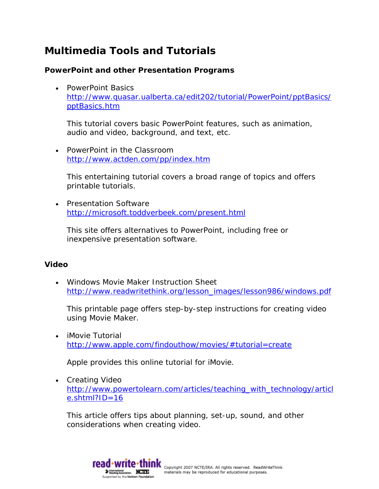# **Multimedia Tools and Tutorials**

# **PowerPoint and other Presentation Programs**

• PowerPoint Basics [http://www.quasar.ualberta.ca/edit202/tutorial/PowerPoint/pptBasics/](http://www.quasar.ualberta.ca/edit202/tutorial/PowerPoint/pptBasics/pptBasics.htm) [pptBasics.htm](http://www.quasar.ualberta.ca/edit202/tutorial/PowerPoint/pptBasics/pptBasics.htm) 

This tutorial covers basic PowerPoint features, such as animation, audio and video, background, and text, etc.

• PowerPoint in the Classroom <http://www.actden.com/pp/index.htm>

This entertaining tutorial covers a broad range of topics and offers printable tutorials.

• Presentation Software <http://microsoft.toddverbeek.com/present.html>

This site offers alternatives to PowerPoint, including free or inexpensive presentation software.

### **Video**

• Windows Movie Maker Instruction Sheet [http://www.readwritethink.org/lesson\\_images/lesson986/windows.pdf](http://www.readwritethink.org/lesson_images/lesson986/windows.pdf)

This printable page offers step-by-step instructions for creating video using Movie Maker.

• iMovie Tutorial <http://www.apple.com/findouthow/movies/#tutorial=create>

Apple provides this online tutorial for iMovie.

• Creating Video [http://www.powertolearn.com/articles/teaching\\_with\\_technology/articl](http://www.powertolearn.com/articles/teaching_with_technology/article.shtml?ID=16) [e.shtml?ID=16](http://www.powertolearn.com/articles/teaching_with_technology/article.shtml?ID=16) 

This article offers tips about planning, set-up, sound, and other considerations when creating video.

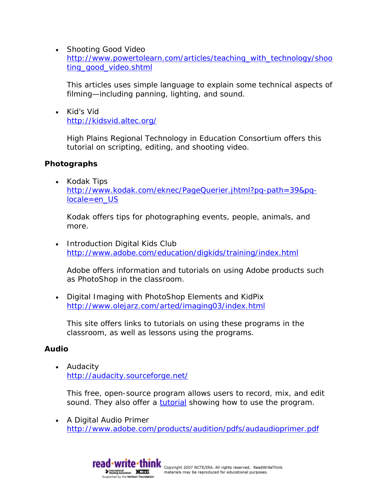• Shooting Good Video [http://www.powertolearn.com/articles/teaching\\_with\\_technology/shoo](http://www.powertolearn.com/articles/teaching_with_technology/shooting_good_video.shtml) [ting\\_good\\_video.shtml](http://www.powertolearn.com/articles/teaching_with_technology/shooting_good_video.shtml)

This articles uses simple language to explain some technical aspects of filming—including panning, lighting, and sound.

• Kid's Vid <http://kidsvid.altec.org/>

> High Plains Regional Technology in Education Consortium offers this tutorial on scripting, editing, and shooting video.

## **Photographs**

• Kodak Tips [http://www.kodak.com/eknec/PageQuerier.jhtml?pq-path=39&pq](http://www.kodak.com/eknec/PageQuerier.jhtml?pq-path=39&pq-locale=en_US)[locale=en\\_US](http://www.kodak.com/eknec/PageQuerier.jhtml?pq-path=39&pq-locale=en_US) 

Kodak offers tips for photographing events, people, animals, and more.

• Introduction Digital Kids Club <http://www.adobe.com/education/digkids/training/index.html>

Adobe offers information and tutorials on using Adobe products such as PhotoShop in the classroom.

• Digital Imaging with PhotoShop Elements and KidPix <http://www.olejarz.com/arted/imaging03/index.html>

This site offers links to tutorials on using these programs in the classroom, as well as lessons using the programs.

# **Audio**

• Audacity <http://audacity.sourceforge.net/>

This free, open-source program allows users to record, mix, and edit sound. They also offer a [tutorial](http://audacity.sourceforge.net/manual-1.2/tutorial_basics_1.html) showing how to use the program.

• A Digital Audio Primer <http://www.adobe.com/products/audition/pdfs/audaudioprimer.pdf>